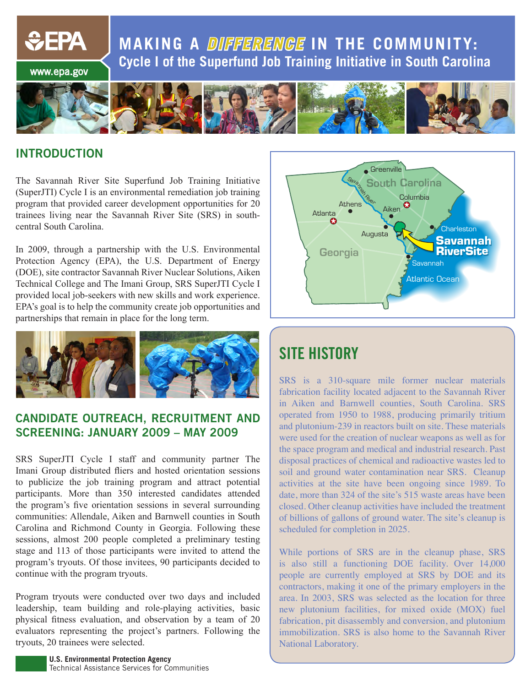**MAKING A DIFFERENGE IN THE COMMUNITY: Cycle I of the Superfund Job Training Initiative in South Carolina** www.epa.gov



#### **INTRODUCTION**

*<u>CHA</u>* 

The Savannah River Site Superfund Job Training Initiative (SuperJTI) Cycle I is an environmental remediation job training program that provided career development opportunities for 20 trainees living near the Savannah River Site (SRS) in southcentral South Carolina.

In 2009, through a partnership with the U.S. Environmental Protection Agency (EPA), the U.S. Department of Energy (DOE), site contractor Savannah River Nuclear Solutions, Aiken Technical College and The Imani Group, SRS SuperJTI Cycle I provided local job-seekers with new skills and work experience. EPA's goal is to help the community create job opportunities and partnerships that remain in place for the long term.



#### **CANDIDATE OUTREACH, RECRUITMENT AND SCREENING: JANUARY 2009 – MAY 2009**

SRS SuperJTI Cycle I staff and community partner The Imani Group distributed fliers and hosted orientation sessions to publicize the job training program and attract potential participants. More than 350 interested candidates attended the program's five orientation sessions in several surrounding communities: Allendale, Aiken and Barnwell counties in South Carolina and Richmond County in Georgia. Following these sessions, almost 200 people completed a preliminary testing stage and 113 of those participants were invited to attend the program's tryouts. Of those invitees, 90 participants decided to continue with the program tryouts.

Program tryouts were conducted over two days and included leadership, team building and role-playing activities, basic physical fitness evaluation, and observation by a team of 20 evaluators representing the project's partners. Following the tryouts, 20 trainees were selected.





# **SITE HISTORY**

SRS is a 310-square mile former nuclear materials fabrication facility located adjacent to the Savannah River in Aiken and Barnwell counties, South Carolina. SRS operated from 1950 to 1988, producing primarily tritium and plutonium-239 in reactors built on site. These materials were used for the creation of nuclear weapons as well as for the space program and medical and industrial research. Past disposal practices of chemical and radioactive wastes led to soil and ground water contamination near SRS. Cleanup activities at the site have been ongoing since 1989. To date, more than 324 of the site's 515 waste areas have been closed. Other cleanup activities have included the treatment of billions of gallons of ground water. The site's cleanup is scheduled for completion in 2025.

While portions of SRS are in the cleanup phase, SRS is also still a functioning DOE facility. Over 14,000 people are currently employed at SRS by DOE and its contractors, making it one of the primary employers in the area. In 2003, SRS was selected as the location for three new plutonium facilities, for mixed oxide (MOX) fuel fabrication, pit disassembly and conversion, and plutonium immobilization. SRS is also home to the Savannah River National Laboratory.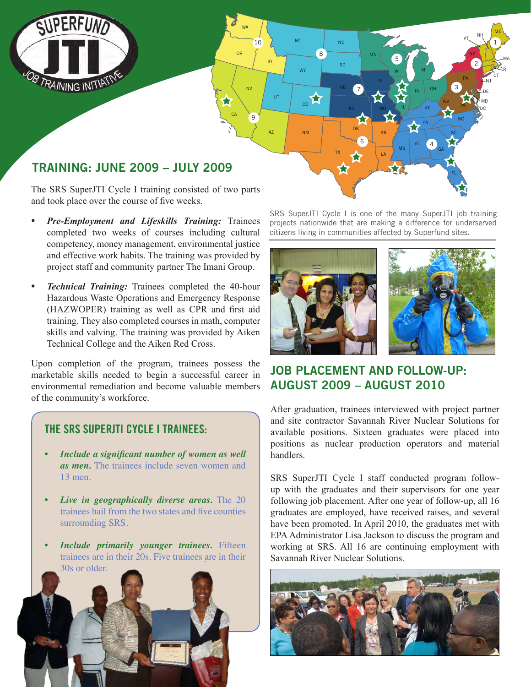

### **TRAINING: JUNE 2009 – JULY 2009**

The SRS SuperJTI Cycle I training consisted of two parts and took place over the course of five weeks.

 $1<sub>0</sub>$ 

ID

UT

 $AZ \qquad \qquad \qquad N$ 

WA

OR

CA

 $\mathbf{g}$ 

ND

SD

TX

MT

WY

CO A

9

NV

- *• Pre-Employment and Lifeskills Training:* Trainees completed two weeks of courses including cultural competency, money management, environmental justice and effective work habits. The training was provided by project staff and community partner The Imani Group.
- *Technical Training:* Trainees completed the 40-hour Hazardous Waste Operations and Emergency Response (HAZWOPER) training as well as CPR and first aid training. They also completed courses in math, computer skills and valving. The training was provided by Aiken Technical College and the Aiken Red Cross.

Upon completion of the program, trainees possess the marketable skills needed to begin a successful career in environmental remediation and become valuable members of the community's workforce.

#### **THE SRS SUPERJTI CYCLE I TRAINEES:**

- *• Include a significant number of women as well as men.* The trainees include seven women and 13 men.
- *Live in geographically diverse areas.* The 20 trainees hail from the two states and five counties surrounding SRS.
- *Include primarily younger trainees.* Fifteen trainees are in their 20s. Five trainees are in their 30s or older.



SRS SuperJTI Cycle I is one of the many SuperJTI job training projects nationwide that are making a difference for underserved citizens living in communities affected by Superfund sites.

LA

6

OK AR

MN

7

KS

5

WI

IL

MS

IN

 $N$ E 7  $\sim$   $N$   $\sim$   $N$   $\sim$   $\sim$   $\sim$   $\sim$   $\sim$ 

AL

MI

4

GA

FL

SC NC WV VA

OH

KY TN

3

PA

2

DC MD

NJ CT

NY

vt. <sup>NH</sup>

1

ME

RI MA



## **JOB PLACEMENT AND FOLLOW-UP: AUGUST 2009 – AUGUST 2010**

After graduation, trainees interviewed with project partner and site contractor Savannah River Nuclear Solutions for available positions. Sixteen graduates were placed into positions as nuclear production operators and material handlers.

SRS SuperJTI Cycle I staff conducted program followup with the graduates and their supervisors for one year following job placement. After one year of follow-up, all 16 graduates are employed, have received raises, and several have been promoted. In April 2010, the graduates met with EPA Administrator Lisa Jackson to discuss the program and working at SRS. All 16 are continuing employment with Savannah River Nuclear Solutions.

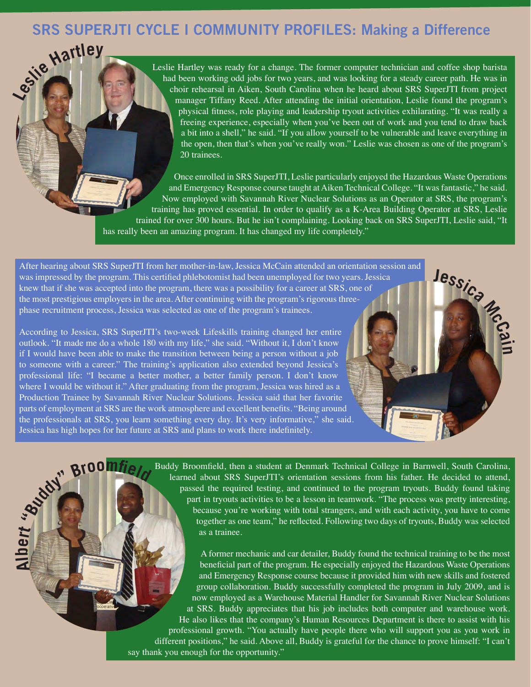# **Lesli<sup>e</sup> <sup>H</sup>artle<sup>y</sup> SRS SUPERJTI CYCLE I COMMUNITY PROFILES: Making a Difference**

Leslie Hartley was ready for a change. The former computer technician and coffee shop barista had been working odd jobs for two years, and was looking for a steady career path. He was in choir rehearsal in Aiken, South Carolina when he heard about SRS SuperJTI from project manager Tiffany Reed. After attending the initial orientation, Leslie found the program's physical fitness, role playing and leadership tryout activities exhilarating. "It was really a freeing experience, especially when you've been out of work and you tend to draw back a bit into a shell," he said. "If you allow yourself to be vulnerable and leave everything in the open, then that's when you've really won." Leslie was chosen as one of the program's 20 trainees.

Once enrolled in SRS SuperJTI, Leslie particularly enjoyed the Hazardous Waste Operations and Emergency Response course taught at Aiken Technical College. "It was fantastic," he said. Now employed with Savannah River Nuclear Solutions as an Operator at SRS, the program's training has proved essential. In order to qualify as a K-Area Building Operator at SRS, Leslie trained for over 300 hours. But he isn't complaining. Looking back on SRS SuperJTI, Leslie said, "It has really been an amazing program. It has changed my life completely."

After hearing about SRS SuperJTI from her mother-in-law, Jessica McCain attended an orientation session and was impressed by the program. This certified phlebotomist had been unemployed for two years. Jessica knew that if she was accepted into the program, there was a possibility for a career at SRS, one of the most prestigious employers in the area. After continuing with the program's rigorous threephase recruitment process, Jessica was selected as one of the program's trainees.

According to Jessica, SRS SuperJTI's two-week Lifeskills training changed her entire outlook. "It made me do a whole 180 with my life," she said. "Without it, I don't know if I would have been able to make the transition between being a person without a job to someone with a career." The training's application also extended beyond Jessica's professional life: "I became a better mother, a better family person. I don't know where I would be without it." After graduating from the program, Jessica was hired as a Production Trainee by Savannah River Nuclear Solutions. Jessica said that her favorite parts of employment at SRS are the work atmosphere and excellent benefits. "Being around the professionals at SRS, you learn something every day. It's very informative," she said. Jessica has high hopes for her future at SRS and plans to work there indefinitely.

**Alb e <sup>r</sup><sup>t</sup>**

**"Buddy" <sup>B</sup>roomfel<sup>d</sup>**

Buddy Broomfield, then a student at Denmark Technical College in Barnwell, South Carolina, learned about SRS SuperJTI's orientation sessions from his father. He decided to attend, passed the required testing, and continued to the program tryouts. Buddy found taking part in tryouts activities to be a lesson in teamwork. "The process was pretty interesting, because you're working with total strangers, and with each activity, you have to come together as one team," he reflected. Following two days of tryouts, Buddy was selected as a trainee.

**<sup>J</sup>essic<sup>a</sup> <sup>M</sup><sup>c</sup>Ca<sup>i</sup>**

**n**

A former mechanic and car detailer, Buddy found the technical training to be the most beneficial part of the program. He especially enjoyed the Hazardous Waste Operations and Emergency Response course because it provided him with new skills and fostered group collaboration. Buddy successfully completed the program in July 2009, and is now employed as a Warehouse Material Handler for Savannah River Nuclear Solutions at SRS. Buddy appreciates that his job includes both computer and warehouse work. He also likes that the company's Human Resources Department is there to assist with his professional growth. "You actually have people there who will support you as you work in different positions," he said. Above all, Buddy is grateful for the chance to prove himself: "I can't say thank you enough for the opportunity."